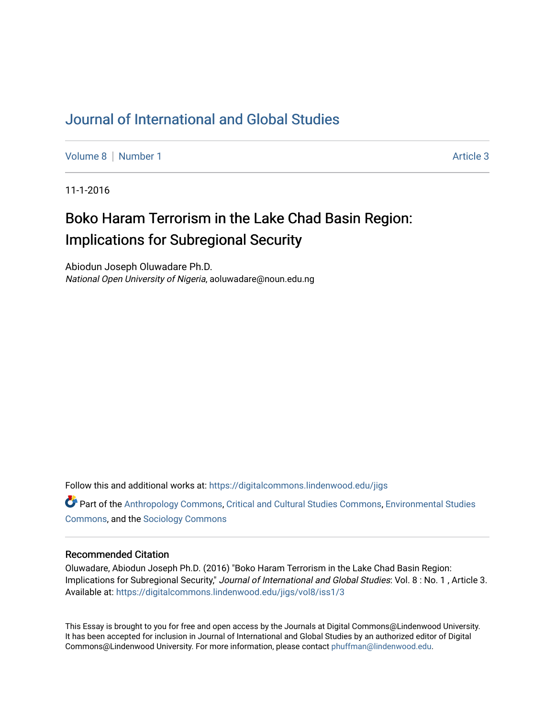# [Journal of International and Global Studies](https://digitalcommons.lindenwood.edu/jigs)

[Volume 8](https://digitalcommons.lindenwood.edu/jigs/vol8) | [Number 1](https://digitalcommons.lindenwood.edu/jigs/vol8/iss1) Article 3

11-1-2016

# Boko Haram Terrorism in the Lake Chad Basin Region: Implications for Subregional Security

Abiodun Joseph Oluwadare Ph.D. National Open University of Nigeria, aoluwadare@noun.edu.ng

Follow this and additional works at: [https://digitalcommons.lindenwood.edu/jigs](https://digitalcommons.lindenwood.edu/jigs?utm_source=digitalcommons.lindenwood.edu%2Fjigs%2Fvol8%2Fiss1%2F3&utm_medium=PDF&utm_campaign=PDFCoverPages) 

**C** Part of the [Anthropology Commons](http://network.bepress.com/hgg/discipline/318?utm_source=digitalcommons.lindenwood.edu%2Fjigs%2Fvol8%2Fiss1%2F3&utm_medium=PDF&utm_campaign=PDFCoverPages), [Critical and Cultural Studies Commons](http://network.bepress.com/hgg/discipline/328?utm_source=digitalcommons.lindenwood.edu%2Fjigs%2Fvol8%2Fiss1%2F3&utm_medium=PDF&utm_campaign=PDFCoverPages), Environmental Studies [Commons](http://network.bepress.com/hgg/discipline/1333?utm_source=digitalcommons.lindenwood.edu%2Fjigs%2Fvol8%2Fiss1%2F3&utm_medium=PDF&utm_campaign=PDFCoverPages), and the [Sociology Commons](http://network.bepress.com/hgg/discipline/416?utm_source=digitalcommons.lindenwood.edu%2Fjigs%2Fvol8%2Fiss1%2F3&utm_medium=PDF&utm_campaign=PDFCoverPages)

### Recommended Citation

Oluwadare, Abiodun Joseph Ph.D. (2016) "Boko Haram Terrorism in the Lake Chad Basin Region: Implications for Subregional Security," Journal of International and Global Studies: Vol. 8 : No. 1 , Article 3. Available at: [https://digitalcommons.lindenwood.edu/jigs/vol8/iss1/3](https://digitalcommons.lindenwood.edu/jigs/vol8/iss1/3?utm_source=digitalcommons.lindenwood.edu%2Fjigs%2Fvol8%2Fiss1%2F3&utm_medium=PDF&utm_campaign=PDFCoverPages)

This Essay is brought to you for free and open access by the Journals at Digital Commons@Lindenwood University. It has been accepted for inclusion in Journal of International and Global Studies by an authorized editor of Digital Commons@Lindenwood University. For more information, please contact [phuffman@lindenwood.edu](mailto:phuffman@lindenwood.edu).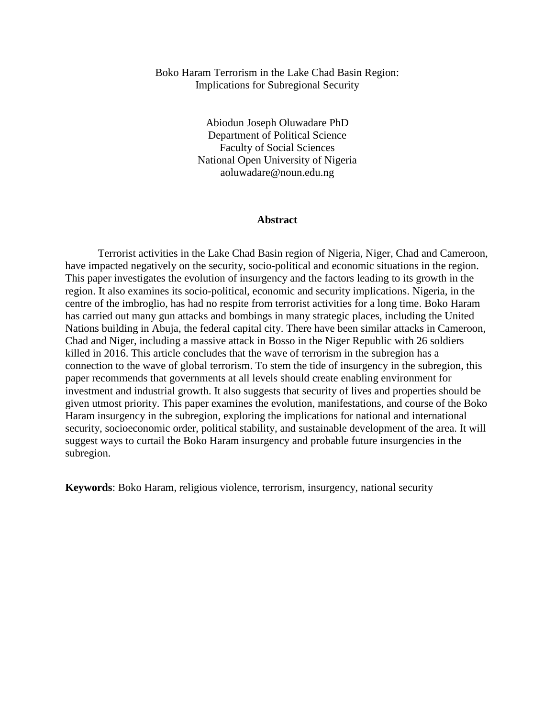## Boko Haram Terrorism in the Lake Chad Basin Region: Implications for Subregional Security

Abiodun Joseph Oluwadare PhD Department of Political Science Faculty of Social Sciences National Open University of Nigeria aoluwadare@noun.edu.ng

#### **Abstract**

Terrorist activities in the Lake Chad Basin region of Nigeria, Niger, Chad and Cameroon, have impacted negatively on the security, socio-political and economic situations in the region. This paper investigates the evolution of insurgency and the factors leading to its growth in the region. It also examines its socio-political, economic and security implications. Nigeria, in the centre of the imbroglio, has had no respite from terrorist activities for a long time. Boko Haram has carried out many gun attacks and bombings in many strategic places, including the United Nations building in Abuja, the federal capital city. There have been similar attacks in Cameroon, Chad and Niger, including a massive attack in Bosso in the Niger Republic with 26 soldiers killed in 2016. This article concludes that the wave of terrorism in the subregion has a connection to the wave of global terrorism. To stem the tide of insurgency in the subregion, this paper recommends that governments at all levels should create enabling environment for investment and industrial growth. It also suggests that security of lives and properties should be given utmost priority. This paper examines the evolution, manifestations, and course of the Boko Haram insurgency in the subregion, exploring the implications for national and international security, socioeconomic order, political stability, and sustainable development of the area. It will suggest ways to curtail the Boko Haram insurgency and probable future insurgencies in the subregion.

**Keywords**: Boko Haram, religious violence, terrorism, insurgency, national security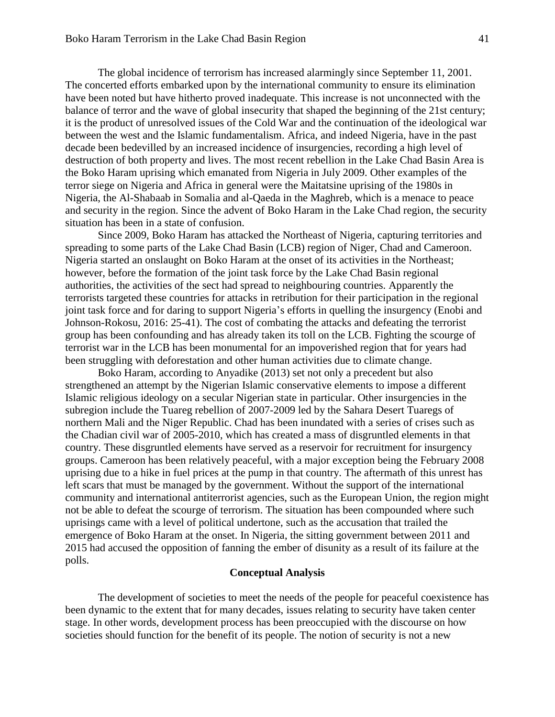The global incidence of terrorism has increased alarmingly since September 11, 2001. The concerted efforts embarked upon by the international community to ensure its elimination have been noted but have hitherto proved inadequate. This increase is not unconnected with the balance of terror and the wave of global insecurity that shaped the beginning of the 21st century; it is the product of unresolved issues of the Cold War and the continuation of the ideological war between the west and the Islamic fundamentalism. Africa, and indeed Nigeria, have in the past decade been bedevilled by an increased incidence of insurgencies, recording a high level of destruction of both property and lives. The most recent rebellion in the Lake Chad Basin Area is the Boko Haram uprising which emanated from Nigeria in July 2009. Other examples of the terror siege on Nigeria and Africa in general were the Maitatsine uprising of the 1980s in Nigeria, the Al-Shabaab in Somalia and al-Qaeda in the Maghreb, which is a menace to peace and security in the region. Since the advent of Boko Haram in the Lake Chad region, the security situation has been in a state of confusion.

Since 2009, Boko Haram has attacked the Northeast of Nigeria, capturing territories and spreading to some parts of the Lake Chad Basin (LCB) region of Niger, Chad and Cameroon. Nigeria started an onslaught on Boko Haram at the onset of its activities in the Northeast; however, before the formation of the joint task force by the Lake Chad Basin regional authorities, the activities of the sect had spread to neighbouring countries. Apparently the terrorists targeted these countries for attacks in retribution for their participation in the regional joint task force and for daring to support Nigeria's efforts in quelling the insurgency (Enobi and Johnson-Rokosu, 2016: 25-41). The cost of combating the attacks and defeating the terrorist group has been confounding and has already taken its toll on the LCB. Fighting the scourge of terrorist war in the LCB has been monumental for an impoverished region that for years had been struggling with deforestation and other human activities due to climate change.

Boko Haram, according to Anyadike (2013) set not only a precedent but also strengthened an attempt by the Nigerian Islamic conservative elements to impose a different Islamic religious ideology on a secular Nigerian state in particular. Other insurgencies in the subregion include the Tuareg rebellion of 2007-2009 led by the Sahara Desert Tuaregs of northern Mali and the Niger Republic. Chad has been inundated with a series of crises such as the Chadian civil war of 2005-2010, which has created a mass of disgruntled elements in that country. These disgruntled elements have served as a reservoir for recruitment for insurgency groups. Cameroon has been relatively peaceful, with a major exception being the February 2008 uprising due to a hike in fuel prices at the pump in that country. The aftermath of this unrest has left scars that must be managed by the government. Without the support of the international community and international antiterrorist agencies, such as the European Union, the region might not be able to defeat the scourge of terrorism. The situation has been compounded where such uprisings came with a level of political undertone, such as the accusation that trailed the emergence of Boko Haram at the onset. In Nigeria, the sitting government between 2011 and 2015 had accused the opposition of fanning the ember of disunity as a result of its failure at the polls.

# **Conceptual Analysis**

The development of societies to meet the needs of the people for peaceful coexistence has been dynamic to the extent that for many decades, issues relating to security have taken center stage. In other words, development process has been preoccupied with the discourse on how societies should function for the benefit of its people. The notion of security is not a new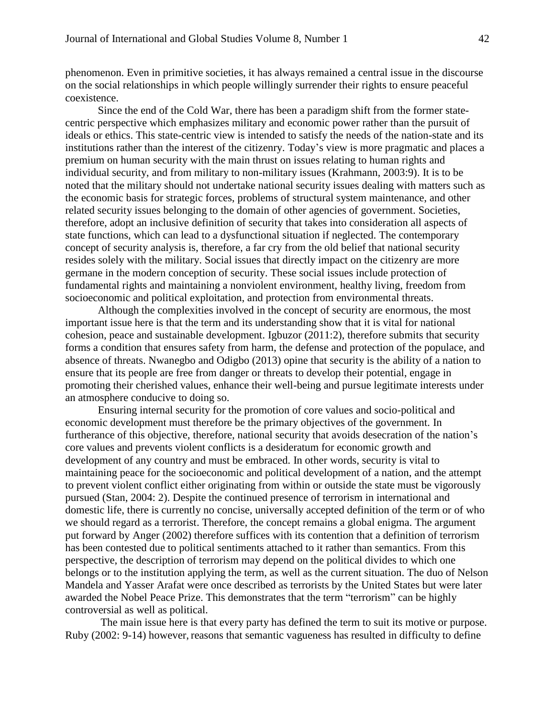phenomenon. Even in primitive societies, it has always remained a central issue in the discourse on the social relationships in which people willingly surrender their rights to ensure peaceful coexistence.

Since the end of the Cold War, there has been a paradigm shift from the former statecentric perspective which emphasizes military and economic power rather than the pursuit of ideals or ethics. This state-centric view is intended to satisfy the needs of the nation-state and its institutions rather than the interest of the citizenry. Today's view is more pragmatic and places a premium on human security with the main thrust on issues relating to human rights and individual security, and from military to non-military issues (Krahmann, 2003:9). It is to be noted that the military should not undertake national security issues dealing with matters such as the economic basis for strategic forces, problems of structural system maintenance, and other related security issues belonging to the domain of other agencies of government. Societies, therefore, adopt an inclusive definition of security that takes into consideration all aspects of state functions, which can lead to a dysfunctional situation if neglected. The contemporary concept of security analysis is, therefore, a far cry from the old belief that national security resides solely with the military. Social issues that directly impact on the citizenry are more germane in the modern conception of security. These social issues include protection of fundamental rights and maintaining a nonviolent environment, healthy living, freedom from socioeconomic and political exploitation, and protection from environmental threats.

Although the complexities involved in the concept of security are enormous, the most important issue here is that the term and its understanding show that it is vital for national cohesion, peace and sustainable development. Igbuzor (2011:2), therefore submits that security forms a condition that ensures safety from harm, the defense and protection of the populace, and absence of threats. Nwanegbo and Odigbo (2013) opine that security is the ability of a nation to ensure that its people are free from danger or threats to develop their potential, engage in promoting their cherished values, enhance their well-being and pursue legitimate interests under an atmosphere conducive to doing so.

Ensuring internal security for the promotion of core values and socio-political and economic development must therefore be the primary objectives of the government. In furtherance of this objective, therefore, national security that avoids desecration of the nation's core values and prevents violent conflicts is a desideratum for economic growth and development of any country and must be embraced. In other words, security is vital to maintaining peace for the socioeconomic and political development of a nation, and the attempt to prevent violent conflict either originating from within or outside the state must be vigorously pursued (Stan, 2004: 2). Despite the continued presence of terrorism in international and domestic life, there is currently no concise, universally accepted definition of the term or of who we should regard as a terrorist. Therefore, the concept remains a global enigma. The argument put forward by Anger (2002) therefore suffices with its contention that a definition of terrorism has been contested due to political sentiments attached to it rather than semantics. From this perspective, the description of terrorism may depend on the political divides to which one belongs or to the institution applying the term, as well as the current situation. The duo of Nelson Mandela and Yasser Arafat were once described as terrorists by the United States but were later awarded the Nobel Peace Prize. This demonstrates that the term "terrorism" can be highly controversial as well as political.

The main issue here is that every party has defined the term to suit its motive or purpose. Ruby (2002: 9-14) however, reasons that semantic vagueness has resulted in difficulty to define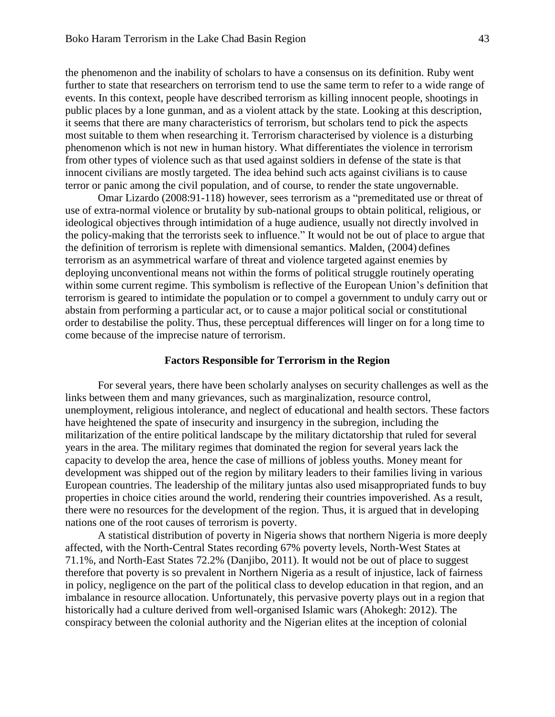the phenomenon and the inability of scholars to have a consensus on its definition. Ruby went further to state that researchers on terrorism tend to use the same term to refer to a wide range of events. In this context, people have described terrorism as killing innocent people, shootings in public places by a lone gunman, and as a violent attack by the state. Looking at this description, it seems that there are many characteristics of terrorism, but scholars tend to pick the aspects most suitable to them when researching it. Terrorism characterised by violence is a disturbing phenomenon which is not new in human history. What differentiates the violence in terrorism from other types of violence such as that used against soldiers in defense of the state is that innocent civilians are mostly targeted. The idea behind such acts against civilians is to cause terror or panic among the civil population, and of course, to render the state ungovernable.

Omar Lizardo (2008:91-118) however, sees terrorism as a "premeditated use or threat of use of extra-normal violence or brutality by sub-national groups to obtain political, religious, or ideological objectives through intimidation of a huge audience, usually not directly involved in the policy-making that the terrorists seek to influence." It would not be out of place to argue that the definition of terrorism is replete with dimensional semantics. Malden, (2004) defines terrorism as an asymmetrical warfare of threat and violence targeted against enemies by deploying unconventional means not within the forms of political struggle routinely operating within some current regime. This symbolism is reflective of the European Union's definition that terrorism is geared to intimidate the population or to compel a government to unduly carry out or abstain from performing a particular act, or to cause a major political social or constitutional order to destabilise the polity. Thus, these perceptual differences will linger on for a long time to come because of the imprecise nature of terrorism.

#### **Factors Responsible for Terrorism in the Region**

For several years, there have been scholarly analyses on security challenges as well as the links between them and many grievances, such as marginalization, resource control, unemployment, religious intolerance, and neglect of educational and health sectors. These factors have heightened the spate of insecurity and insurgency in the subregion, including the militarization of the entire political landscape by the military dictatorship that ruled for several years in the area. The military regimes that dominated the region for several years lack the capacity to develop the area, hence the case of millions of jobless youths. Money meant for development was shipped out of the region by military leaders to their families living in various European countries. The leadership of the military juntas also used misappropriated funds to buy properties in choice cities around the world, rendering their countries impoverished. As a result, there were no resources for the development of the region. Thus, it is argued that in developing nations one of the root causes of terrorism is poverty.

A statistical distribution of poverty in Nigeria shows that northern Nigeria is more deeply affected, with the North-Central States recording 67% poverty levels, North-West States at 71.1%, and North-East States 72.2% (Danjibo, 2011). It would not be out of place to suggest therefore that poverty is so prevalent in Northern Nigeria as a result of injustice, lack of fairness in policy, negligence on the part of the political class to develop education in that region, and an imbalance in resource allocation. Unfortunately, this pervasive poverty plays out in a region that historically had a culture derived from well-organised Islamic wars (Ahokegh: 2012). The conspiracy between the colonial authority and the Nigerian elites at the inception of colonial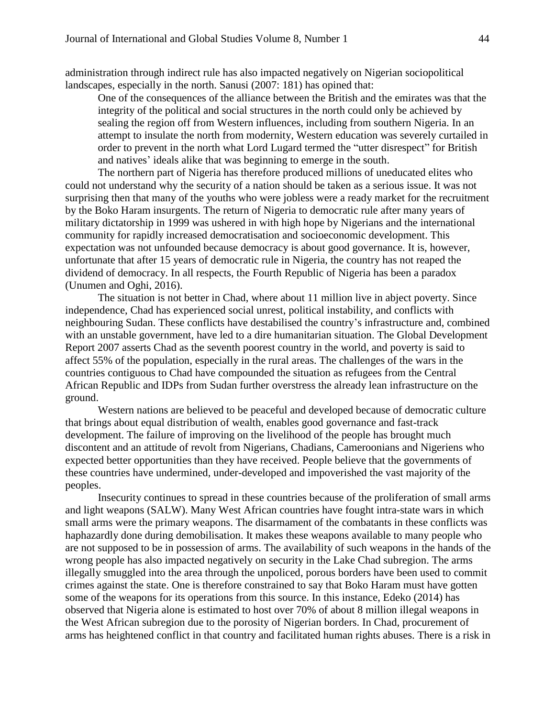administration through indirect rule has also impacted negatively on Nigerian sociopolitical landscapes, especially in the north. Sanusi (2007: 181) has opined that:

One of the consequences of the alliance between the British and the emirates was that the integrity of the political and social structures in the north could only be achieved by sealing the region off from Western influences, including from southern Nigeria. In an attempt to insulate the north from modernity, Western education was severely curtailed in order to prevent in the north what Lord Lugard termed the "utter disrespect" for British and natives' ideals alike that was beginning to emerge in the south.

The northern part of Nigeria has therefore produced millions of uneducated elites who could not understand why the security of a nation should be taken as a serious issue. It was not surprising then that many of the youths who were jobless were a ready market for the recruitment by the Boko Haram insurgents. The return of Nigeria to democratic rule after many years of military dictatorship in 1999 was ushered in with high hope by Nigerians and the international community for rapidly increased democratisation and socioeconomic development. This expectation was not unfounded because democracy is about good governance. It is, however, unfortunate that after 15 years of democratic rule in Nigeria, the country has not reaped the dividend of democracy. In all respects, the Fourth Republic of Nigeria has been a paradox (Unumen and Oghi, 2016).

The situation is not better in Chad, where about 11 million live in abject poverty. Since independence, Chad has experienced social unrest, political instability, and conflicts with neighbouring Sudan. These conflicts have destabilised the country's infrastructure and, combined with an unstable government, have led to a dire humanitarian situation. The Global Development Report 2007 asserts Chad as the seventh poorest country in the world, and poverty is said to affect 55% of the population, especially in the rural areas. The challenges of the wars in the countries contiguous to Chad have compounded the situation as refugees from the Central African Republic and IDPs from Sudan further overstress the already lean infrastructure on the ground.

Western nations are believed to be peaceful and developed because of democratic culture that brings about equal distribution of wealth, enables good governance and fast-track development. The failure of improving on the livelihood of the people has brought much discontent and an attitude of revolt from Nigerians, Chadians, Cameroonians and Nigeriens who expected better opportunities than they have received. People believe that the governments of these countries have undermined, under-developed and impoverished the vast majority of the peoples.

Insecurity continues to spread in these countries because of the proliferation of small arms and light weapons (SALW). Many West African countries have fought intra-state wars in which small arms were the primary weapons. The disarmament of the combatants in these conflicts was haphazardly done during demobilisation. It makes these weapons available to many people who are not supposed to be in possession of arms. The availability of such weapons in the hands of the wrong people has also impacted negatively on security in the Lake Chad subregion. The arms illegally smuggled into the area through the unpoliced, porous borders have been used to commit crimes against the state. One is therefore constrained to say that Boko Haram must have gotten some of the weapons for its operations from this source. In this instance, Edeko (2014) has observed that Nigeria alone is estimated to host over 70% of about 8 million illegal weapons in the West African subregion due to the porosity of Nigerian borders. In Chad, procurement of arms has heightened conflict in that country and facilitated human rights abuses. There is a risk in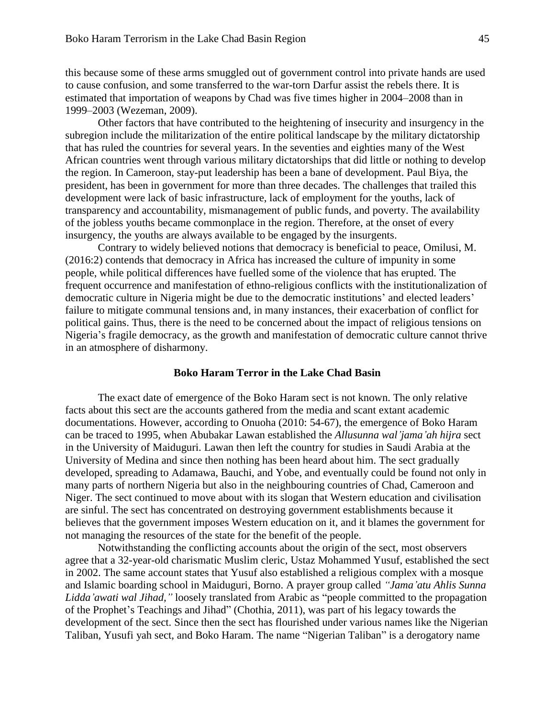this because some of these arms smuggled out of government control into private hands are used to cause confusion, and some transferred to the war-torn Darfur assist the rebels there. It is estimated that importation of weapons by Chad was five times higher in 2004–2008 than in 1999–2003 (Wezeman, 2009).

Other factors that have contributed to the heightening of insecurity and insurgency in the subregion include the militarization of the entire political landscape by the military dictatorship that has ruled the countries for several years. In the seventies and eighties many of the West African countries went through various military dictatorships that did little or nothing to develop the region. In Cameroon, stay-put leadership has been a bane of development. Paul Biya, the president, has been in government for more than three decades. The challenges that trailed this development were lack of basic infrastructure, lack of employment for the youths, lack of transparency and accountability, mismanagement of public funds, and poverty. The availability of the jobless youths became commonplace in the region. Therefore, at the onset of every insurgency, the youths are always available to be engaged by the insurgents.

Contrary to widely believed notions that democracy is beneficial to peace, Omilusi, M. (2016:2) contends that democracy in Africa has increased the culture of impunity in some people, while political differences have fuelled some of the violence that has erupted. The frequent occurrence and manifestation of ethno-religious conflicts with the institutionalization of democratic culture in Nigeria might be due to the democratic institutions' and elected leaders' failure to mitigate communal tensions and, in many instances, their exacerbation of conflict for political gains. Thus, there is the need to be concerned about the impact of religious tensions on Nigeria's fragile democracy, as the growth and manifestation of democratic culture cannot thrive in an atmosphere of disharmony.

#### **Boko Haram Terror in the Lake Chad Basin**

The exact date of emergence of the Boko Haram sect is not known. The only relative facts about this sect are the accounts gathered from the media and scant extant academic documentations. However, according to Onuoha (2010: 54-67), the emergence of Boko Haram can be traced to 1995, when Abubakar Lawan established the *Allusunna wal'jama'ah hijra* sect in the University of Maiduguri. Lawan then left the country for studies in Saudi Arabia at the University of Medina and since then nothing has been heard about him. The sect gradually developed, spreading to Adamawa, Bauchi, and Yobe, and eventually could be found not only in many parts of northern Nigeria but also in the neighbouring countries of Chad, Cameroon and Niger. The sect continued to move about with its slogan that Western education and civilisation are sinful. The sect has concentrated on destroying government establishments because it believes that the government imposes Western education on it, and it blames the government for not managing the resources of the state for the benefit of the people.

Notwithstanding the conflicting accounts about the origin of the sect, most observers agree that a 32-year-old charismatic Muslim cleric, Ustaz Mohammed Yusuf, established the sect in 2002. The same account states that Yusuf also established a religious complex with a mosque and Islamic boarding school in Maiduguri, Borno. A prayer group called *"Jama'atu Ahlis Sunna Lidda'awati wal Jihad,"* loosely translated from Arabic as "people committed to the propagation of the Prophet's Teachings and Jihad" (Chothia, 2011), was part of his legacy towards the development of the sect. Since then the sect has flourished under various names like the Nigerian Taliban, Yusufi yah sect, and Boko Haram. The name "Nigerian Taliban" is a derogatory name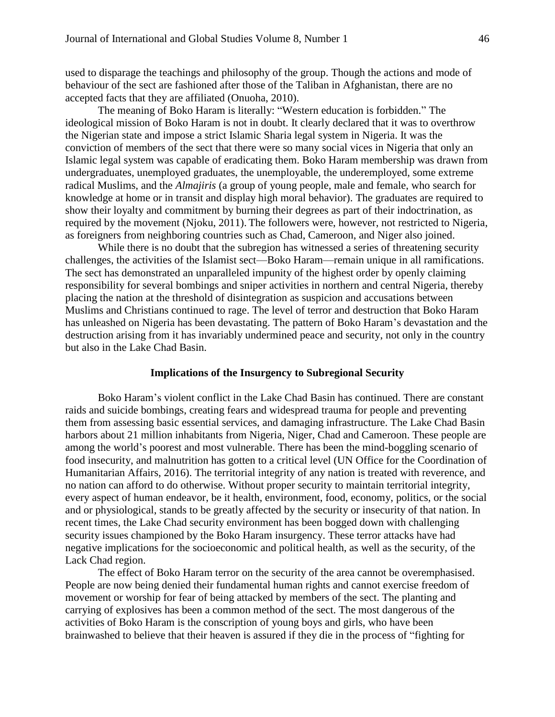used to disparage the teachings and philosophy of the group. Though the actions and mode of behaviour of the sect are fashioned after those of the Taliban in Afghanistan, there are no accepted facts that they are affiliated (Onuoha, 2010).

The meaning of Boko Haram is literally: "Western education is forbidden." The ideological mission of Boko Haram is not in doubt. It clearly declared that it was to overthrow the Nigerian state and impose a strict Islamic Sharia legal system in Nigeria. It was the conviction of members of the sect that there were so many social vices in Nigeria that only an Islamic legal system was capable of eradicating them. Boko Haram membership was drawn from undergraduates, unemployed graduates, the unemployable, the underemployed, some extreme radical Muslims, and the *Almajiris* (a group of young people, male and female, who search for knowledge at home or in transit and display high moral behavior). The graduates are required to show their loyalty and commitment by burning their degrees as part of their indoctrination, as required by the movement (Njoku, 2011). The followers were, however, not restricted to Nigeria, as foreigners from neighboring countries such as Chad, Cameroon, and Niger also joined.

While there is no doubt that the subregion has witnessed a series of threatening security challenges, the activities of the Islamist sect—Boko Haram—remain unique in all ramifications. The sect has demonstrated an unparalleled impunity of the highest order by openly claiming responsibility for several bombings and sniper activities in northern and central Nigeria, thereby placing the nation at the threshold of disintegration as suspicion and accusations between Muslims and Christians continued to rage. The level of terror and destruction that Boko Haram has unleashed on Nigeria has been devastating. The pattern of Boko Haram's devastation and the destruction arising from it has invariably undermined peace and security, not only in the country but also in the Lake Chad Basin.

#### **Implications of the Insurgency to Subregional Security**

Boko Haram's violent conflict in the Lake Chad Basin has continued. There are constant raids and suicide bombings, creating fears and widespread trauma for people and preventing them from assessing basic essential services, and damaging infrastructure. The Lake Chad Basin harbors about 21 million inhabitants from Nigeria, Niger, Chad and Cameroon. These people are among the world's poorest and most vulnerable. There has been the mind-boggling scenario of food insecurity, and malnutrition has gotten to a critical level (UN Office for the Coordination of Humanitarian Affairs, 2016). The territorial integrity of any nation is treated with reverence, and no nation can afford to do otherwise. Without proper security to maintain territorial integrity, every aspect of human endeavor, be it health, environment, food, economy, politics, or the social and or physiological, stands to be greatly affected by the security or insecurity of that nation. In recent times, the Lake Chad security environment has been bogged down with challenging security issues championed by the Boko Haram insurgency. These terror attacks have had negative implications for the socioeconomic and political health, as well as the security, of the Lack Chad region.

The effect of Boko Haram terror on the security of the area cannot be overemphasised. People are now being denied their fundamental human rights and cannot exercise freedom of movement or worship for fear of being attacked by members of the sect. The planting and carrying of explosives has been a common method of the sect. The most dangerous of the activities of Boko Haram is the conscription of young boys and girls, who have been brainwashed to believe that their heaven is assured if they die in the process of "fighting for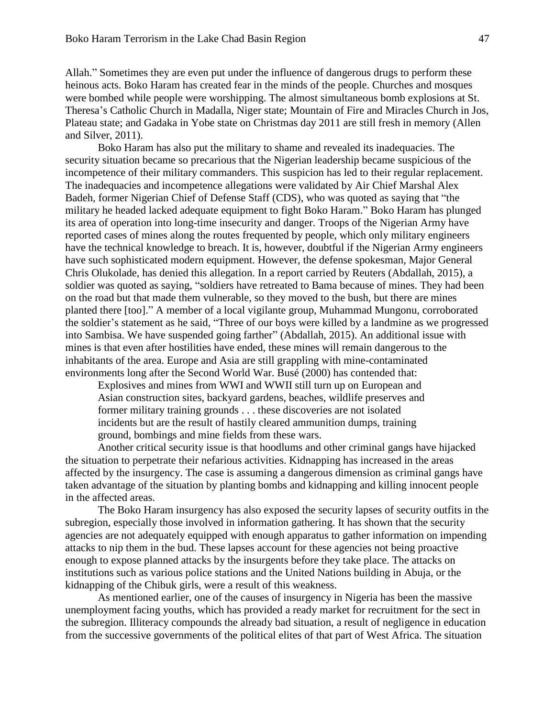Allah." Sometimes they are even put under the influence of dangerous drugs to perform these heinous acts. Boko Haram has created fear in the minds of the people. Churches and mosques were bombed while people were worshipping. The almost simultaneous bomb explosions at St. Theresa's Catholic Church in Madalla, Niger state; Mountain of Fire and Miracles Church in Jos, Plateau state; and Gadaka in Yobe state on Christmas day 2011 are still fresh in memory (Allen and Silver, 2011).

Boko Haram has also put the military to shame and revealed its inadequacies. The security situation became so precarious that the Nigerian leadership became suspicious of the incompetence of their military commanders. This suspicion has led to their regular replacement. The inadequacies and incompetence allegations were validated by Air Chief Marshal Alex Badeh, former Nigerian Chief of Defense Staff (CDS), who was quoted as saying that "the military he headed lacked adequate equipment to fight Boko Haram." Boko Haram has plunged its area of operation into long-time insecurity and danger. Troops of the Nigerian Army have reported cases of mines along the routes frequented by people, which only military engineers have the technical knowledge to breach. It is, however, doubtful if the Nigerian Army engineers have such sophisticated modern equipment. However, the defense spokesman, Major General Chris Olukolade, has denied this allegation. In a report carried by Reuters (Abdallah, 2015), a soldier was quoted as saying, "soldiers have retreated to Bama because of mines. They had been on the road but that made them vulnerable, so they moved to the bush, but there are mines planted there [too]." A member of a local vigilante group, Muhammad Mungonu, corroborated the soldier's statement as he said, "Three of our boys were killed by a landmine as we progressed into Sambisa. We have suspended going farther" (Abdallah, 2015). An additional issue with mines is that even after hostilities have ended, these mines will remain dangerous to the inhabitants of the area. Europe and Asia are still grappling with mine-contaminated environments long after the Second World War. Busé (2000) has contended that:

Explosives and mines from WWI and WWII still turn up on European and Asian construction sites, backyard gardens, beaches, wildlife preserves and former military training grounds . . . these discoveries are not isolated incidents but are the result of hastily cleared ammunition dumps, training ground, bombings and mine fields from these wars.

Another critical security issue is that hoodlums and other criminal gangs have hijacked the situation to perpetrate their nefarious activities. Kidnapping has increased in the areas affected by the insurgency. The case is assuming a dangerous dimension as criminal gangs have taken advantage of the situation by planting bombs and kidnapping and killing innocent people in the affected areas.

The Boko Haram insurgency has also exposed the security lapses of security outfits in the subregion, especially those involved in information gathering. It has shown that the security agencies are not adequately equipped with enough apparatus to gather information on impending attacks to nip them in the bud. These lapses account for these agencies not being proactive enough to expose planned attacks by the insurgents before they take place. The attacks on institutions such as various police stations and the United Nations building in Abuja, or the kidnapping of the Chibuk girls, were a result of this weakness.

As mentioned earlier, one of the causes of insurgency in Nigeria has been the massive unemployment facing youths, which has provided a ready market for recruitment for the sect in the subregion. Illiteracy compounds the already bad situation, a result of negligence in education from the successive governments of the political elites of that part of West Africa. The situation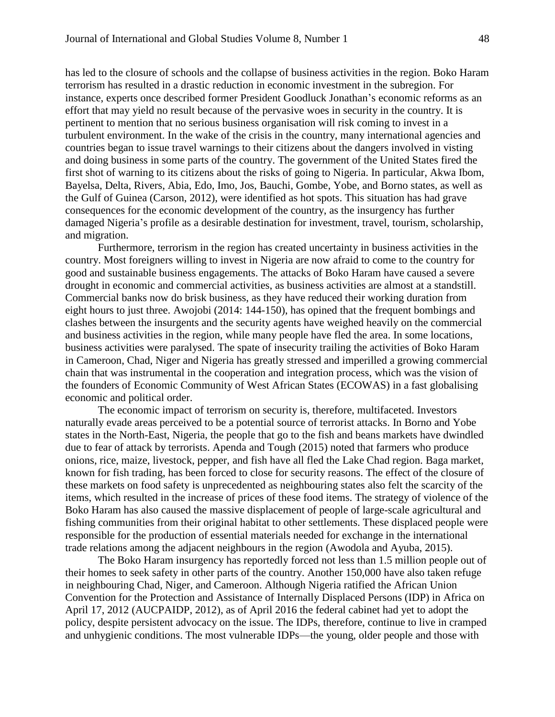has led to the closure of schools and the collapse of business activities in the region. Boko Haram terrorism has resulted in a drastic reduction in economic investment in the subregion. For instance, experts once described former President Goodluck Jonathan's economic reforms as an effort that may yield no result because of the pervasive woes in security in the country. It is pertinent to mention that no serious business organisation will risk coming to invest in a turbulent environment. In the wake of the crisis in the country, many international agencies and countries began to issue travel warnings to their citizens about the dangers involved in visting and doing business in some parts of the country. The government of the United States fired the first shot of warning to its citizens about the risks of going to Nigeria. In particular, Akwa Ibom, Bayelsa, Delta, Rivers, Abia, Edo, Imo, Jos, Bauchi, Gombe, Yobe, and Borno states, as well as the Gulf of Guinea (Carson, 2012), were identified as hot spots. This situation has had grave consequences for the economic development of the country, as the insurgency has further damaged Nigeria's profile as a desirable destination for investment, travel, tourism, scholarship, and migration.

Furthermore, terrorism in the region has created uncertainty in business activities in the country. Most foreigners willing to invest in Nigeria are now afraid to come to the country for good and sustainable business engagements. The attacks of Boko Haram have caused a severe drought in economic and commercial activities, as business activities are almost at a standstill. Commercial banks now do brisk business, as they have reduced their working duration from eight hours to just three. Awojobi (2014: 144-150), has opined that the frequent bombings and clashes between the insurgents and the security agents have weighed heavily on the commercial and business activities in the region, while many people have fled the area. In some locations, business activities were paralysed. The spate of insecurity trailing the activities of Boko Haram in Cameroon, Chad, Niger and Nigeria has greatly stressed and imperilled a growing commercial chain that was instrumental in the cooperation and integration process, which was the vision of the founders of Economic Community of West African States (ECOWAS) in a fast globalising economic and political order.

The economic impact of terrorism on security is, therefore, multifaceted. Investors naturally evade areas perceived to be a potential source of terrorist attacks. In Borno and Yobe states in the North-East, Nigeria, the people that go to the fish and beans markets have dwindled due to fear of attack by terrorists. Apenda and Tough (2015) noted that farmers who produce onions, rice, maize, livestock, pepper, and fish have all fled the Lake Chad region. Baga market, known for fish trading, has been forced to close for security reasons. The effect of the closure of these markets on food safety is unprecedented as neighbouring states also felt the scarcity of the items, which resulted in the increase of prices of these food items. The strategy of violence of the Boko Haram has also caused the massive displacement of people of large-scale agricultural and fishing communities from their original habitat to other settlements. These displaced people were responsible for the production of essential materials needed for exchange in the international trade relations among the adjacent neighbours in the region (Awodola and Ayuba, 2015).

The Boko Haram insurgency has reportedly forced not less than 1.5 million people out of their homes to seek safety in other parts of the country. Another 150,000 have also taken refuge in neighbouring Chad, Niger, and Cameroon. Although Nigeria ratified the African Union Convention for the Protection and Assistance of Internally Displaced Persons (IDP) in Africa on April 17, 2012 (AUCPAIDP, 2012), as of April 2016 the federal cabinet had yet to adopt the policy, despite persistent advocacy on the issue. The IDPs, therefore, continue to live in cramped and unhygienic conditions. The most vulnerable IDPs—the young, older people and those with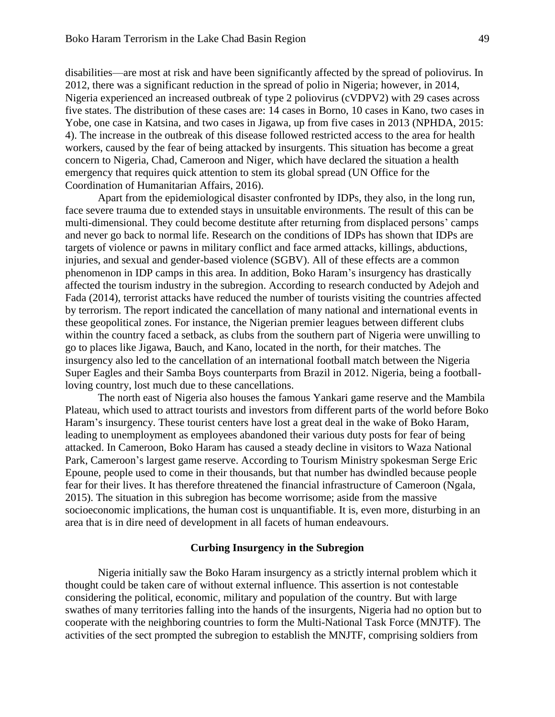disabilities—are most at risk and have been significantly affected by the spread of poliovirus. In 2012, there was a significant reduction in the spread of polio in Nigeria; however, in 2014, Nigeria experienced an increased outbreak of type 2 poliovirus (cVDPV2) with 29 cases across five states. The distribution of these cases are: 14 cases in Borno, 10 cases in Kano, two cases in Yobe, one case in Katsina, and two cases in Jigawa, up from five cases in 2013 (NPHDA, 2015: 4). The increase in the outbreak of this disease followed restricted access to the area for health workers, caused by the fear of being attacked by insurgents. This situation has become a great concern to Nigeria, Chad, Cameroon and Niger, which have declared the situation a health emergency that requires quick attention to stem its global spread (UN Office for the Coordination of Humanitarian Affairs, 2016).

Apart from the epidemiological disaster confronted by IDPs, they also, in the long run, face severe trauma due to extended stays in unsuitable environments. The result of this can be multi-dimensional. They could become destitute after returning from displaced persons' camps and never go back to normal life. Research on the conditions of IDPs has shown that IDPs are targets of violence or pawns in military conflict and face armed attacks, killings, abductions, injuries, and sexual and gender-based violence (SGBV). All of these effects are a common phenomenon in IDP camps in this area. In addition, Boko Haram's insurgency has drastically affected the tourism industry in the subregion. According to research conducted by Adejoh and Fada (2014), terrorist attacks have reduced the number of tourists visiting the countries affected by terrorism. The report indicated the cancellation of many national and international events in these geopolitical zones. For instance, the Nigerian premier leagues between different clubs within the country faced a setback, as clubs from the southern part of Nigeria were unwilling to go to places like Jigawa, Bauch, and Kano, located in the north, for their matches. The insurgency also led to the cancellation of an international football match between the Nigeria Super Eagles and their Samba Boys counterparts from Brazil in 2012. Nigeria, being a footballloving country, lost much due to these cancellations.

The north east of Nigeria also houses the famous Yankari game reserve and the Mambila Plateau, which used to attract tourists and investors from different parts of the world before Boko Haram's insurgency. These tourist centers have lost a great deal in the wake of Boko Haram, leading to unemployment as employees abandoned their various duty posts for fear of being attacked. In Cameroon, Boko Haram has caused a steady decline in visitors to Waza National Park, Cameroon's largest game reserve. According to Tourism Ministry spokesman Serge Eric Epoune, people used to come in their thousands, but that number has dwindled because people fear for their lives. It has therefore threatened the financial infrastructure of Cameroon (Ngala, 2015). The situation in this subregion has become worrisome; aside from the massive socioeconomic implications, the human cost is unquantifiable. It is, even more, disturbing in an area that is in dire need of development in all facets of human endeavours.

#### **Curbing Insurgency in the Subregion**

Nigeria initially saw the Boko Haram insurgency as a strictly internal problem which it thought could be taken care of without external influence. This assertion is not contestable considering the political, economic, military and population of the country. But with large swathes of many territories falling into the hands of the insurgents, Nigeria had no option but to cooperate with the neighboring countries to form the Multi-National Task Force (MNJTF). The activities of the sect prompted the subregion to establish the MNJTF, comprising soldiers from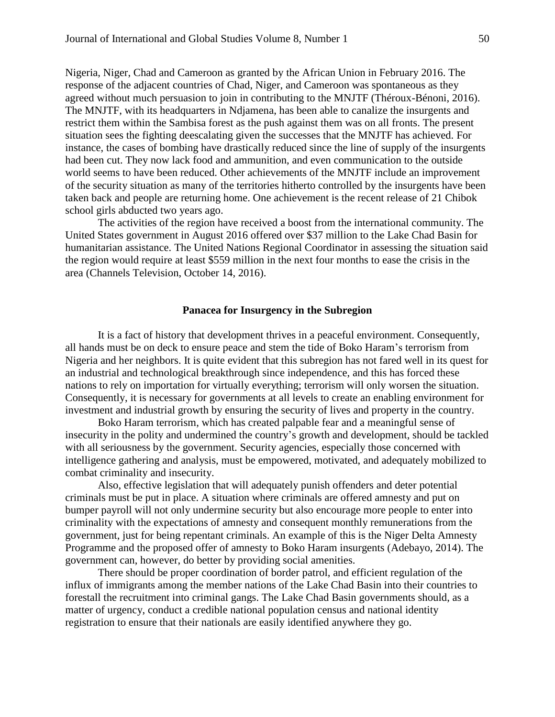Nigeria, Niger, Chad and Cameroon as granted by the African Union in February 2016. The response of the adjacent countries of Chad, Niger, and Cameroon was spontaneous as they agreed without much persuasion to join in contributing to the MNJTF (Théroux-Bénoni, 2016). The MNJTF, with its headquarters in Ndjamena, has been able to canalize the insurgents and restrict them within the Sambisa forest as the push against them was on all fronts. The present situation sees the fighting deescalating given the successes that the MNJTF has achieved. For instance, the cases of bombing have drastically reduced since the line of supply of the insurgents had been cut. They now lack food and ammunition, and even communication to the outside world seems to have been reduced. Other achievements of the MNJTF include an improvement of the security situation as many of the territories hitherto controlled by the insurgents have been taken back and people are returning home. One achievement is the recent release of 21 Chibok school girls abducted two years ago.

The activities of the region have received a boost from the international community. The United States government in August 2016 offered over \$37 million to the Lake Chad Basin for humanitarian assistance. The United Nations Regional Coordinator in assessing the situation said the region would require at least \$559 million in the next four months to ease the crisis in the area (Channels Television, October 14, 2016).

# **Panacea for Insurgency in the Subregion**

It is a fact of history that development thrives in a peaceful environment. Consequently, all hands must be on deck to ensure peace and stem the tide of Boko Haram's terrorism from Nigeria and her neighbors. It is quite evident that this subregion has not fared well in its quest for an industrial and technological breakthrough since independence, and this has forced these nations to rely on importation for virtually everything; terrorism will only worsen the situation. Consequently, it is necessary for governments at all levels to create an enabling environment for investment and industrial growth by ensuring the security of lives and property in the country.

Boko Haram terrorism, which has created palpable fear and a meaningful sense of insecurity in the polity and undermined the country's growth and development, should be tackled with all seriousness by the government. Security agencies, especially those concerned with intelligence gathering and analysis, must be empowered, motivated, and adequately mobilized to combat criminality and insecurity.

Also, effective legislation that will adequately punish offenders and deter potential criminals must be put in place. A situation where criminals are offered amnesty and put on bumper payroll will not only undermine security but also encourage more people to enter into criminality with the expectations of amnesty and consequent monthly remunerations from the government, just for being repentant criminals. An example of this is the Niger Delta Amnesty Programme and the proposed offer of amnesty to Boko Haram insurgents (Adebayo, 2014). The government can, however, do better by providing social amenities.

There should be proper coordination of border patrol, and efficient regulation of the influx of immigrants among the member nations of the Lake Chad Basin into their countries to forestall the recruitment into criminal gangs. The Lake Chad Basin governments should, as a matter of urgency, conduct a credible national population census and national identity registration to ensure that their nationals are easily identified anywhere they go.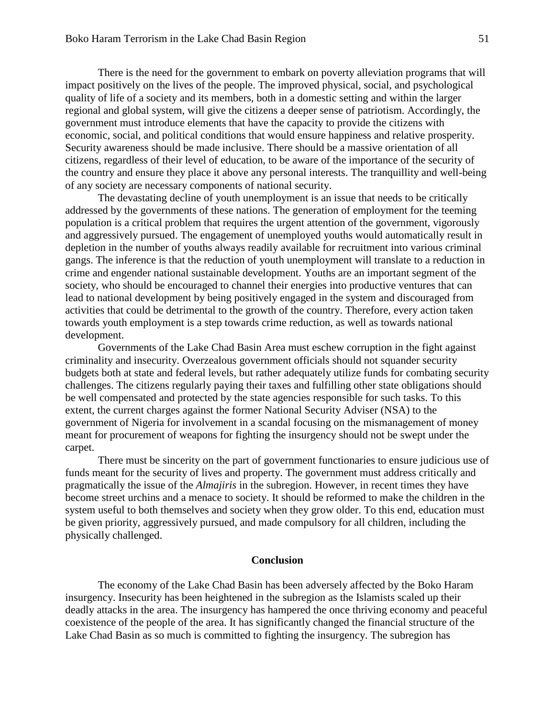There is the need for the government to embark on poverty alleviation programs that will impact positively on the lives of the people. The improved physical, social, and psychological quality of life of a society and its members, both in a domestic setting and within the larger regional and global system, will give the citizens a deeper sense of patriotism. Accordingly, the government must introduce elements that have the capacity to provide the citizens with economic, social, and political conditions that would ensure happiness and relative prosperity. Security awareness should be made inclusive. There should be a massive orientation of all citizens, regardless of their level of education, to be aware of the importance of the security of the country and ensure they place it above any personal interests. The tranquillity and well-being of any society are necessary components of national security.

The devastating decline of youth unemployment is an issue that needs to be critically addressed by the governments of these nations. The generation of employment for the teeming population is a critical problem that requires the urgent attention of the government, vigorously and aggressively pursued. The engagement of unemployed youths would automatically result in depletion in the number of youths always readily available for recruitment into various criminal gangs. The inference is that the reduction of youth unemployment will translate to a reduction in crime and engender national sustainable development. Youths are an important segment of the society, who should be encouraged to channel their energies into productive ventures that can lead to national development by being positively engaged in the system and discouraged from activities that could be detrimental to the growth of the country. Therefore, every action taken towards youth employment is a step towards crime reduction, as well as towards national development.

Governments of the Lake Chad Basin Area must eschew corruption in the fight against criminality and insecurity. Overzealous government officials should not squander security budgets both at state and federal levels, but rather adequately utilize funds for combating security challenges. The citizens regularly paying their taxes and fulfilling other state obligations should be well compensated and protected by the state agencies responsible for such tasks. To this extent, the current charges against the former National Security Adviser (NSA) to the government of Nigeria for involvement in a scandal focusing on the mismanagement of money meant for procurement of weapons for fighting the insurgency should not be swept under the carpet.

There must be sincerity on the part of government functionaries to ensure judicious use of funds meant for the security of lives and property. The government must address critically and pragmatically the issue of the *Almajiris* in the subregion. However, in recent times they have become street urchins and a menace to society. It should be reformed to make the children in the system useful to both themselves and society when they grow older. To this end, education must be given priority, aggressively pursued, and made compulsory for all children, including the physically challenged.

#### **Conclusion**

The economy of the Lake Chad Basin has been adversely affected by the Boko Haram insurgency. Insecurity has been heightened in the subregion as the Islamists scaled up their deadly attacks in the area. The insurgency has hampered the once thriving economy and peaceful coexistence of the people of the area. It has significantly changed the financial structure of the Lake Chad Basin as so much is committed to fighting the insurgency. The subregion has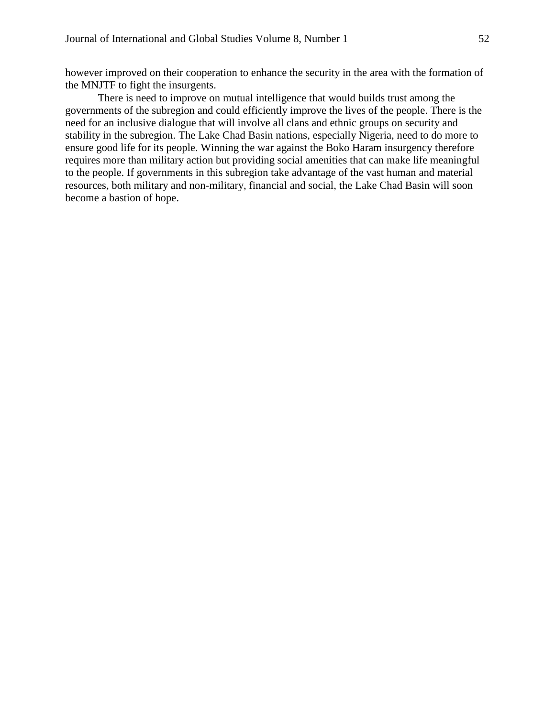however improved on their cooperation to enhance the security in the area with the formation of the MNJTF to fight the insurgents.

There is need to improve on mutual intelligence that would builds trust among the governments of the subregion and could efficiently improve the lives of the people. There is the need for an inclusive dialogue that will involve all clans and ethnic groups on security and stability in the subregion. The Lake Chad Basin nations, especially Nigeria, need to do more to ensure good life for its people. Winning the war against the Boko Haram insurgency therefore requires more than military action but providing social amenities that can make life meaningful to the people. If governments in this subregion take advantage of the vast human and material resources, both military and non-military, financial and social, the Lake Chad Basin will soon become a bastion of hope.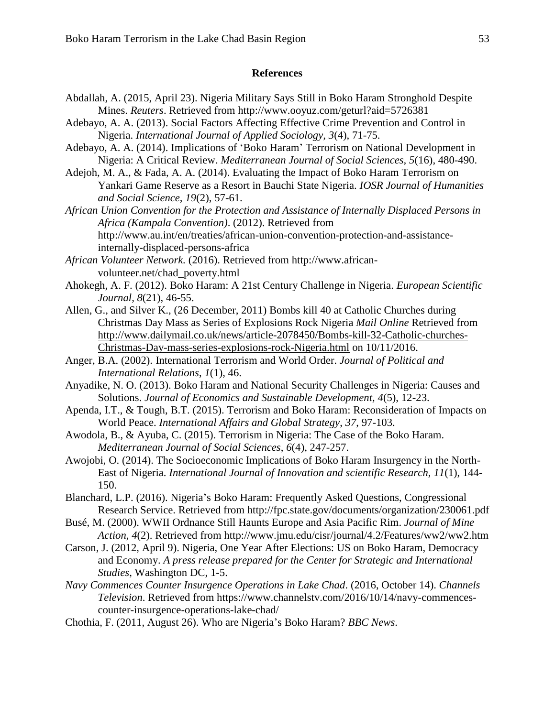#### **References**

- Abdallah, A. (2015, April 23). Nigeria Military Says Still in Boko Haram Stronghold Despite Mines. *Reuters*. Retrieved from http://www.ooyuz.com/geturl?aid=5726381
- Adebayo, A. A. (2013). Social Factors Affecting Effective Crime Prevention and Control in Nigeria. *International Journal of Applied Sociology, 3*(4), 71-75.
- Adebayo, A. A. (2014). Implications of 'Boko Haram' Terrorism on National Development in Nigeria: A Critical Review. *Mediterranean Journal of Social Sciences, 5*(16), 480-490.
- Adejoh, M. A., & Fada, A. A. (2014). Evaluating the Impact of Boko Haram Terrorism on Yankari Game Reserve as a Resort in Bauchi State Nigeria. *IOSR Journal of Humanities and Social Science, 19*(2), 57-61.
- *African Union Convention for the Protection and Assistance of Internally Displaced Persons in Africa (Kampala Convention)*. (2012). Retrieved from http://www.au.int/en/treaties/african-union-convention-protection-and-assistanceinternally-displaced-persons-africa
- *African Volunteer Network.* (2016). Retrieved from http://www.africanvolunteer.net/chad\_poverty.html
- Ahokegh, A. F. (2012). Boko Haram: A 21st Century Challenge in Nigeria. *European Scientific Journal, 8*(21), 46-55.
- [Allen,](http://www.dailymail.co.uk/home/search.html?s=&authornamef=Gavin+Allen) G., and [Silver](http://www.dailymail.co.uk/home/search.html?s=&authornamef=Katie+Silver) K., (26 December, 2011) Bombs kill 40 at Catholic Churches during Christmas Day Mass as Series of Explosions Rock Nigeria *Mail Online* Retrieved from [http://www.dailymail.co.uk/news/article-2078450/Bombs-kill-32-Catholic-churches-](http://www.dailymail.co.uk/news/article-2078450/Bombs-kill-32-Catholic-churches-Christmas-Day-mass-series-explosions-rock-Nigeria.html)[Christmas-Day-mass-series-explosions-rock-Nigeria.html](http://www.dailymail.co.uk/news/article-2078450/Bombs-kill-32-Catholic-churches-Christmas-Day-mass-series-explosions-rock-Nigeria.html) on 10/11/2016.
- Anger, B.A. (2002). International Terrorism and World Order. *Journal of Political and International Relations*, *1*(1), 46.
- Anyadike, N. O. (2013). Boko Haram and National Security Challenges in Nigeria: Causes and Solutions. *Journal of Economics and Sustainable Development, 4*(5), 12-23.
- Apenda, I.T., & Tough, B.T. (2015). Terrorism and Boko Haram: Reconsideration of Impacts on World Peace. *International Affairs and Global Strategy*, *37*, 97-103.
- Awodola, B., & Ayuba, C. (2015). Terrorism in Nigeria: The Case of the Boko Haram. *Mediterranean Journal of Social Sciences*, *6*(4), 247-257.
- Awojobi, O. (2014). The Socioeconomic Implications of Boko Haram Insurgency in the North-East of Nigeria. *International Journal of Innovation and scientific Research, 11*(1), 144- 150.
- Blanchard, L.P. (2016). Nigeria's Boko Haram: Frequently Asked Questions, Congressional Research Service. Retrieved from http://fpc.state.gov/documents/organization/230061.pdf
- Busé, M. (2000). WWII Ordnance Still Haunts Europe and Asia Pacific Rim. *Journal of Mine Action, 4*(2). Retrieved from http://www.jmu.edu/cisr/journal/4.2/Features/ww2/ww2.htm
- Carson, J. (2012, April 9). Nigeria, One Year After Elections: US on Boko Haram, Democracy and Economy. *A press release prepared for the Center for Strategic and International Studies*, Washington DC, 1-5.
- *Navy Commences Counter Insurgence Operations in Lake Chad*. (2016, October 14). *Channels Television*. Retrieved from https://www.channelstv.com/2016/10/14/navy-commencescounter-insurgence-operations-lake-chad/
- Chothia, F. (2011, August 26). Who are Nigeria's Boko Haram? *BBC News*.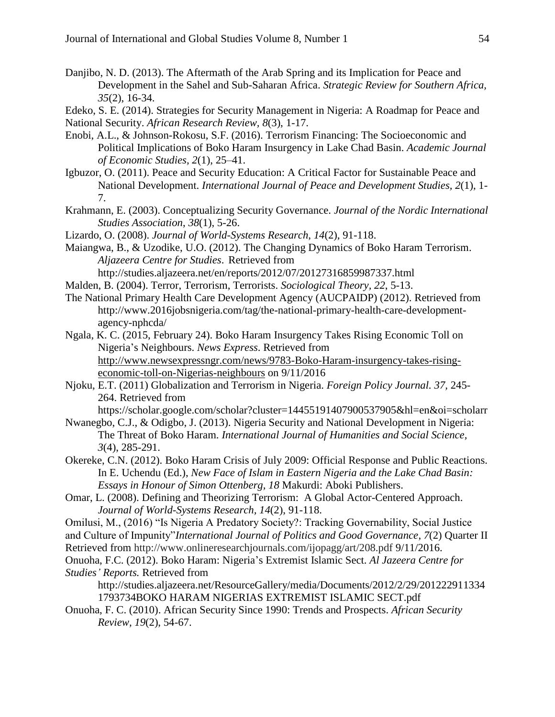- Danjibo, N. D. (2013). The Aftermath of the Arab Spring and its Implication for Peace and Development in the Sahel and Sub-Saharan Africa. *Strategic Review for Southern Africa, 35*(2), 16-34.
- Edeko, S. E. (2014). Strategies for Security Management in Nigeria: A Roadmap for Peace and National Security. *African Research Review, 8*(3), 1-17.
- Enobi, A.L., & Johnson-Rokosu, S.F. (2016). Terrorism Financing: The Socioeconomic and Political Implications of Boko Haram Insurgency in Lake Chad Basin. *Academic Journal of Economic Studies, 2*(1), 25–41.
- Igbuzor, O. (2011). Peace and Security Education: A Critical Factor for Sustainable Peace and National Development. *International Journal of Peace and Development Studies, 2*(1), 1- 7.
- Krahmann, E. (2003). Conceptualizing Security Governance. *Journal of the Nordic International Studies Association*, *38*(1), 5-26.
- Lizardo, O. (2008). *Journal of World-Systems Research*, *14*(2), 91-118.
- Maiangwa, B., & Uzodike, U.O. (2012). The Changing Dynamics of Boko Haram Terrorism. *Aljazeera Centre for Studies*. Retrieved from

http://studies.aljazeera.net/en/reports/2012/07/20127316859987337.html

- Malden, B. (2004). Terror, Terrorism, Terrorists. *Sociological Theory, 22*, 5-13.
- The National Primary Health Care Development Agency (AUCPAIDP) (2012). Retrieved from http://www.2016jobsnigeria.com/tag/the-national-primary-health-care-developmentagency-nphcda/
- Ngala, K. C. (2015, February 24). Boko Haram Insurgency Takes Rising Economic Toll on Nigeria's Neighbours. *News Express*. Retrieved from [http://www.newsexpressngr.com/news/9783-Boko-Haram-insurgency-takes-rising](http://www.newsexpressngr.com/news/9783-Boko-Haram-insurgency-takes-rising-economic-toll-on-Nigerias-neighbours)[economic-toll-on-Nigerias-neighbours](http://www.newsexpressngr.com/news/9783-Boko-Haram-insurgency-takes-rising-economic-toll-on-Nigerias-neighbours) on 9/11/2016
- Njoku, E.T. (2011) Globalization and Terrorism in Nigeria. *Foreign Policy Journal. 37,* 245- 264. Retrieved from

https://scholar.google.com/scholar?cluster=14455191407900537905&hl=en&oi=scholarr

- Nwanegbo, C.J., & Odigbo, J. (2013). Nigeria Security and National Development in Nigeria: The Threat of Boko Haram. *International Journal of Humanities and Social Science, 3*(4), 285-291.
- Okereke, C.N. (2012). Boko Haram Crisis of July 2009: Official Response and Public Reactions. In E. Uchendu (Ed.), *New Face of Islam in Eastern Nigeria and the Lake Chad Basin: Essays in Honour of Simon Ottenberg, 18* Makurdi: Aboki Publishers.
- Omar, L. (2008). Defining and Theorizing Terrorism: A Global Actor-Centered Approach. *Journal of World-Systems Research, 14*(2), 91-118.
- Omilusi, M., (2016) "Is Nigeria A Predatory Society?: Tracking Governability, Social Justice
- and Culture of Impunity"*International Journal of Politics and Good Governance*, *7*(2) Quarter II
- Retrieved from http://www.onlineresearchjournals.com/ijopagg/art/208.pdf 9/11/2016.
- Onuoha, F.C. (2012). Boko Haram: Nigeria's Extremist Islamic Sect. *Al Jazeera Centre for Studies' Reports.* Retrieved from

http://studies.aljazeera.net/ResourceGallery/media/Documents/2012/2/29/201222911334 1793734BOKO HARAM NIGERIAS EXTREMIST ISLAMIC SECT.pdf

Onuoha, F. C. (2010). African Security Since 1990: Trends and Prospects. *African Security Review, 19*(2), 54-67.